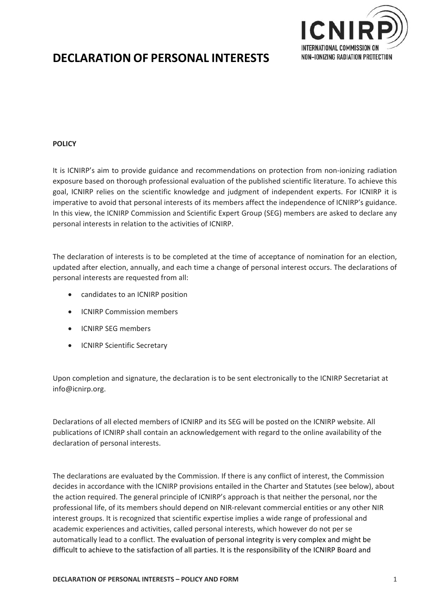

# **DECLARATION OF PERSONAL INTERESTS**

## **POLICY**

It is ICNIRP's aim to provide guidance and recommendations on protection from non-ionizing radiation exposure based on thorough professional evaluation of the published scientific literature. To achieve this goal, ICNIRP relies on the scientific knowledge and judgment of independent experts. For ICNIRP it is imperative to avoid that personal interests of its members affect the independence of ICNIRP's guidance. In this view, the ICNIRP Commission and Scientific Expert Group (SEG) members are asked to declare any personal interests in relation to the activities of ICNIRP.

The declaration of interests is to be completed at the time of acceptance of nomination for an election, updated after election, annually, and each time a change of personal interest occurs. The declarations of personal interests are requested from all:

- candidates to an ICNIRP position
- ICNIRP Commission members
- ICNIRP SEG members
- **•** ICNIRP Scientific Secretary

Upon completion and signature, the declaration is to be sent electronically to the ICNIRP Secretariat at info@icnirp.org.

Declarations of all elected members of ICNIRP and its SEG will be posted on the ICNIRP website. All publications of ICNIRP shall contain an acknowledgement with regard to the online availability of the declaration of personal interests.

The declarations are evaluated by the Commission. If there is any conflict of interest, the Commission decides in accordance with the ICNIRP provisions entailed in the Charter and Statutes (see below), about the action required. The general principle of ICNIRP's approach is that neither the personal, nor the professional life, of its members should depend on NIR‐relevant commercial entities or any other NIR interest groups. It is recognized that scientific expertise implies a wide range of professional and academic experiences and activities, called personal interests, which however do not per se automatically lead to a conflict. The evaluation of personal integrity is very complex and might be difficult to achieve to the satisfaction of all parties. It is the responsibility of the ICNIRP Board and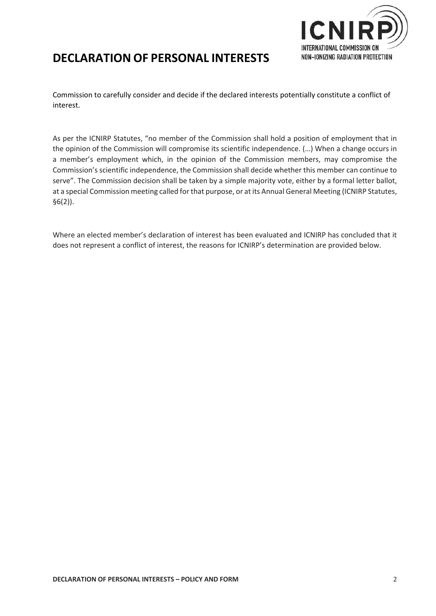

## **DECLARATION OF PERSONAL INTERESTS**

Commission to carefully consider and decide if the declared interests potentially constitute a conflict of interest.

As per the ICNIRP Statutes, "no member of the Commission shall hold a position of employment that in the opinion of the Commission will compromise its scientific independence. (…) When a change occurs in a member's employment which, in the opinion of the Commission members, may compromise the Commission's scientific independence, the Commission shall decide whether this member can continue to serve". The Commission decision shall be taken by a simple majority vote, either by a formal letter ballot, at a special Commission meeting called for that purpose, or at its Annual General Meeting (ICNIRP Statutes, §6(2)).

Where an elected member's declaration of interest has been evaluated and ICNIRP has concluded that it does not represent a conflict of interest, the reasons for ICNIRP's determination are provided below.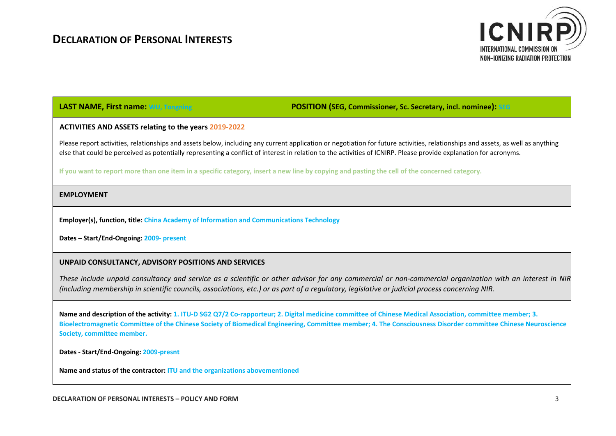

**LAST NAME, First name: WU, Tongning POSITION (SEG, Commissioner, Sc. Secretary, incl. nominee): SEG**

#### **ACTIVITIES AND ASSETS relating to the years 2019‐2022**

Please report activities, relationships and assets below, including any current application or negotiation for future activities, relationships and assets, as well as anything else that could be perceived as potentially representing a conflict of interest in relation to the activities of ICNIRP. Please provide explanation for acronyms.

**If you want to report more than one item in a specific category, insert a new line by copying and pasting the cell of the concerned category.**

#### **EMPLOYMENT**

**Employer(s), function, title: China Academy of Information and Communications Technology**

**Dates – Start/End‐Ongoing: 2009‐ present**

### **UNPAID CONSULTANCY, ADVISORY POSITIONS AND SERVICES**

These include unpaid consultancy and service as a scientific or other advisor for any commercial or non-commercial organization with an interest in NIR *(including membership in scientific councils, associations, etc.) or as part of a regulatory, legislative or judicial process concerning NIR.*

Name and description of the activity: 1. ITU-D SG2 Q7/2 Co-rapporteur; 2. Digital medicine committee of Chinese Medical Association, committee member; 3. **Bioelectromagnetic Committee of the Chinese Society of Biomedical Engineering, Committee member; 4. The Consciousness Disorder committee Chinese Neuroscience Society, committee member.** 

**Dates ‐ Start/End‐Ongoing: 2009‐presnt**

**Name and status of the contractor: ITU and the organizations abovementioned**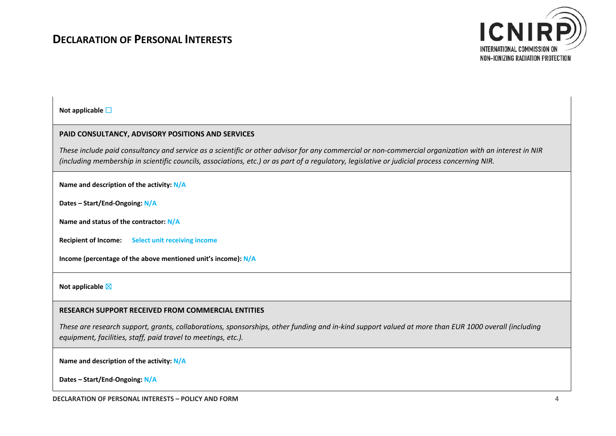

**Not applicable** ☐

### **PAID CONSULTANCY, ADVISORY POSITIONS AND SERVICES**

*These include paid consultancy and service as a scientific or other advisor for any commercial or non‐commercial organization with an interest in NIR (including membership in scientific councils, associations, etc.) or as part of a regulatory, legislative or judicial process concerning NIR.*

**Name and description of the activity: N/A**

**Dates – Start/End‐Ongoing: N/A**

**Name and status of the contractor: N/A**

**Recipient of Income: Select unit receiving income**

**Income (percentage of the above mentioned unit's income): N/A**

**Not applicable** ☒

#### **RESEARCH SUPPORT RECEIVED FROM COMMERCIAL ENTITIES**

*These are research support, grants, collaborations, sponsorships, other funding and in‐kind support valued at more than EUR 1000 overall (including equipment, facilities, staff, paid travel to meetings, etc.).*

**Name and description of the activity: N/A**

**Dates – Start/End‐Ongoing: N/A**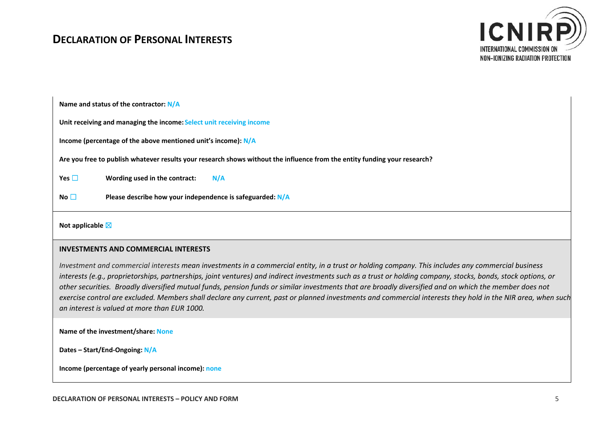## **DECLARATION OF PERSONAL INTERESTS**



**Name and status of the contractor: N/A**

**Unit receiving and managing the income: Select unit receiving income**

**Income (percentage of the above mentioned unit's income): N/A**

**Are you free to publish whatever results your research shows without the influence from the entity funding your research?** 

**Yes**  $\Box$  **Wording used in the contract:**  $\Box$  **N/A** 

**No** ☐ **Please describe how your independence is safeguarded: N/A**

**Not applicable** ☒

#### **INVESTMENTS AND COMMERCIAL INTERESTS**

*Investment and commercial interests mean investments in a commercial entity, in a trust or holding company. This includes any commercial business interests (e.g., proprietorships, partnerships, joint ventures) and indirect investments such as a trust or holding company, stocks, bonds, stock options, or other securities. Broadly diversified mutual funds, pension funds or similar investments that are broadly diversified and on which the member does not exercise control are excluded. Members shall declare any current, past or planned investments and commercial interests they hold in the NIR area, when such an interest is valued at more than EUR 1000.*

**Name of the investment/share: None**

**Dates – Start/End‐Ongoing: N/A**

**Income (percentage of yearly personal income): none**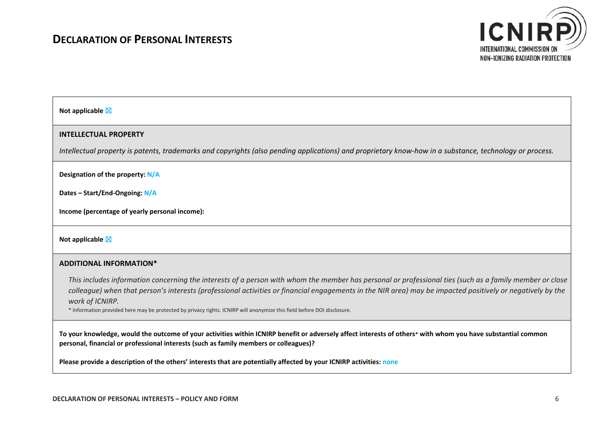

#### **Not applicable** ☒

#### **INTELLECTUAL PROPERTY**

*Intellectual property is patents, trademarks and copyrights (also pending applications) and proprietary know‐how in a substance, technology or process.* 

**Designation of the property: N/A**

**Dates – Start/End‐Ongoing: N/A**

**Income (percentage of yearly personal income):** 

#### **Not applicable** ☒

#### **ADDITIONAL INFORMATION\***

*This includes information concerning the interests of a person with whom the member has personal or professional ties (such as a family member or close colleague) when that person's interests (professional activities or financial engagements in the NIR area) may be impacted positively or negatively by the work of ICNIRP.* 

\* Information provided here may be protected by privacy rights. ICNIRP will anonymize this field before DOI disclosure.

**To your knowledge, would the outcome of your activities within ICNIRP benefit or adversely affect interests of others\* with whom you have substantial common personal, financial or professional interests (such as family members or colleagues)?**

**Please provide a description of the others' interests that are potentially affected by your ICNIRP activities: none**